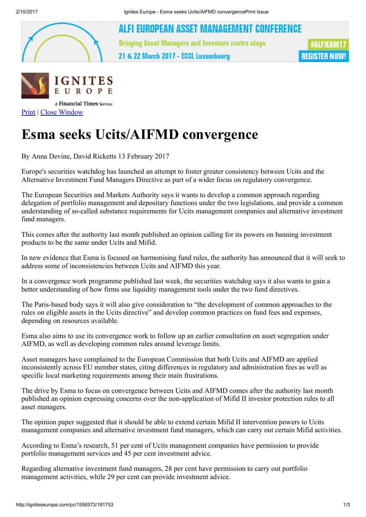

ALFI EUROPEAN ASSET MANAGEMENT CONFERENCE **Bringing Asset Managers and Investors centre stage** 

21 & 22 March 2017 - ECCL Luxembourg





[Print](javascript: window.print();) | Close [Window](javascript: window.close();)

## Esma seeks Ucits/AIFMD convergence

By Anna Devine, David Ricketts 13 February 2017

Europe's securities watchdog has launched an attempt to foster greater consistency between Ucits and the Alternative Investment Fund Managers Directive as part of a wider focus on regulatory convergence.

The European Securities and Markets Authority says it wants to develop a common approach regarding delegation of portfolio management and depositary functions under the two legislations, and provide a common understanding of so-called substance requirements for Ucits management companies and alternative investment fund managers.

This comes after the authority last month published an opinion calling for its powers on banning investment products to be the same under Ucits and Mifid.

In new evidence that Esma is focused on harmonising fund rules, the authority has announced that it will seek to address some of inconsistencies between Ucits and AIFMD this year.

In a convergence work programme published last week, the securities watchdog says it also wants to gain a better understanding of how firms use liquidity management tools under the two fund directives.

The Paris-based body says it will also give consideration to "the development of common approaches to the rules on eligible assets in the Ucits directive" and develop common practices on fund fees and expenses, depending on resources available.

Esma also aims to use its convergence work to follow up an earlier consultation on asset segregation under AIFMD, as well as developing common rules around leverage limits.

Asset managers have complained to the European Commission that both Ucits and AIFMD are applied inconsistently across EU member states, citing differences in regulatory and administration fees as well as specific local marketing requirements among their main frustrations.

The drive by Esma to focus on convergence between Ucits and AIFMD comes after the authority last month published an opinion expressing concerns over the non-application of Mifid II investor protection rules to all asset managers.

The opinion paper suggested that it should be able to extend certain Mifid II intervention powers to Ucits management companies and alternative investment fund managers, which can carry out certain Mifid activities.

According to Esma's research, 51 per cent of Ucits management companies have permission to provide portfolio management services and 45 per cent investment advice.

Regarding alternative investment fund managers, 28 per cent have permission to carry out portfolio management activities, while 29 per cent can provide investment advice.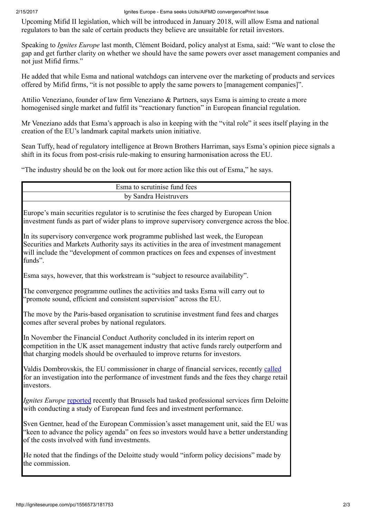Upcoming Mifid II legislation, which will be introduced in January 2018, will allow Esma and national regulators to ban the sale of certain products they believe are unsuitable for retail investors.

Speaking to *Ignites Europe* last month, Clément Boidard, policy analyst at Esma, said: "We want to close the gap and get further clarity on whether we should have the same powers over asset management companies and not just Mifid firms."

He added that while Esma and national watchdogs can intervene over the marketing of products and services offered by Mifid firms, "it is not possible to apply the same powers to [management companies]".

Attilio Veneziano, founder of law firm Veneziano & Partners, says Esma is aiming to create a more homogenised single market and fulfil its "reactionary function" in European financial regulation.

Mr Veneziano adds that Esma's approach is also in keeping with the "vital role" it sees itself playing in the creation of the EU's landmark capital markets union initiative.

Sean Tuffy, head of regulatory intelligence at Brown Brothers Harriman, says Esma's opinion piece signals a shift in its focus from post-crisis rule-making to ensuring harmonisation across the EU.

"The industry should be on the look out for more action like this out of Esma," he says.

| Esma to scrutinise fund fees                                                                                                                                                                                                                                                    |
|---------------------------------------------------------------------------------------------------------------------------------------------------------------------------------------------------------------------------------------------------------------------------------|
| by Sandra Heistruvers                                                                                                                                                                                                                                                           |
| Europe's main securities regulator is to scrutinise the fees charged by European Union<br>investment funds as part of wider plans to improve supervisory convergence across the bloc.                                                                                           |
| In its supervisory convergence work programme published last week, the European<br>Securities and Markets Authority says its activities in the area of investment management<br>will include the "development of common practices on fees and expenses of investment<br>funds". |
| Esma says, however, that this workstream is "subject to resource availability".                                                                                                                                                                                                 |
| The convergence programme outlines the activities and tasks Esma will carry out to<br>"promote sound, efficient and consistent supervision" across the EU.                                                                                                                      |
| The move by the Paris-based organisation to scrutinise investment fund fees and charges<br>comes after several probes by national regulators.                                                                                                                                   |
| In November the Financial Conduct Authority concluded in its interim report on<br>competition in the UK asset management industry that active funds rarely outperform and<br>that charging models should be overhauled to improve returns for investors.                        |
| Valdis Dombrovskis, the EU commissioner in charge of financial services, recently called<br>for an investigation into the performance of investment funds and the fees they charge retail<br>investors.                                                                         |
| <i>Ignites Europe</i> reported recently that Brussels had tasked professional services firm Deloitte<br>with conducting a study of European fund fees and investment performance.                                                                                               |
| Sven Gentner, head of the European Commission's asset management unit, said the EU was<br>"keen to advance the policy agenda" on fees so investors would have a better understanding<br>of the costs involved with fund investments.                                            |
| He noted that the findings of the Deloitte study would "inform policy decisions" made by<br>the commission.                                                                                                                                                                     |